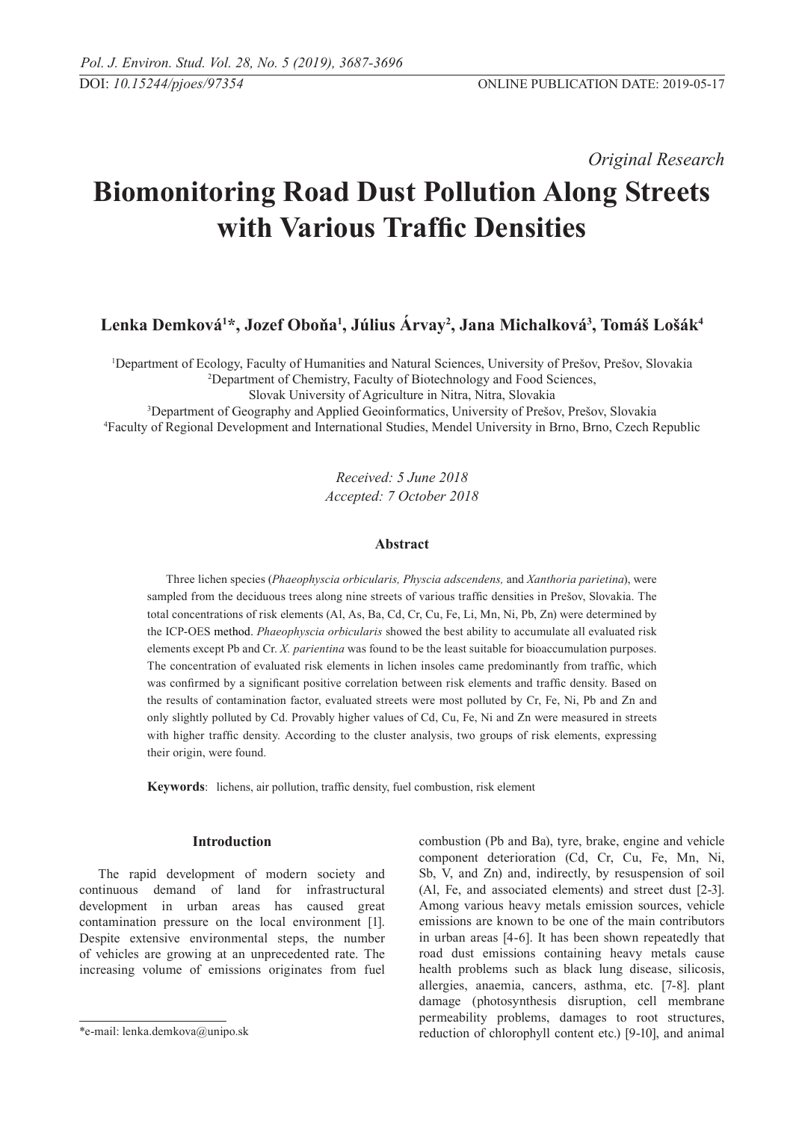*Original Research* 

# **Biomonitoring Road Dust Pollution Along Streets with Various Traffic Densities**

**Lenka Demková1 \*, Jozef Oboňa<sup>1</sup> , Július Árvay2 , Jana Michalková3 , Tomáš Lošák4** 

1 Department of Ecology, Faculty of Humanities and Natural Sciences, University of Prešov, Prešov, Slovakia 2 Department of Chemistry, Faculty of Biotechnology and Food Sciences,

Slovak University of Agriculture in Nitra, Nitra, Slovakia

3 Department of Geography and Applied Geoinformatics, University of Prešov, Prešov, Slovakia 4 Faculty of Regional Development and International Studies, Mendel University in Brno, Brno, Czech Republic

> *Received: 5 June 2018 Accepted: 7 October 2018*

# **Abstract**

Three lichen species (*Phaeophyscia orbicularis, Physcia adscendens,* and *Xanthoria parietina*), were sampled from the deciduous trees along nine streets of various traffic densities in Prešov, Slovakia. The total concentrations of risk elements (Al, As, Ba, Cd, Cr, Cu, Fe, Li, Mn, Ni, Pb, Zn) were determined by the ICP-OES method. *Phaeophyscia orbicularis* showed the best ability to accumulate all evaluated risk elements except Pb and Cr. *X. parientina* was found to be the least suitable for bioaccumulation purposes. The concentration of evaluated risk elements in lichen insoles came predominantly from traffic, which was confirmed by a significant positive correlation between risk elements and traffic density. Based on the results of contamination factor, evaluated streets were most polluted by Cr, Fe, Ni, Pb and Zn and only slightly polluted by Cd. Provably higher values of Cd, Cu, Fe, Ni and Zn were measured in streets with higher traffic density. According to the cluster analysis, two groups of risk elements, expressing their origin, were found.

**Keywords**: lichens, air pollution, traffic density, fuel combustion, risk element

# **Introduction**

The rapid development of modern society and continuous demand of land for infrastructural development in urban areas has caused great contamination pressure on the local environment [1]. Despite extensive environmental steps, the number of vehicles are growing at an unprecedented rate. The increasing volume of emissions originates from fuel combustion (Pb and Ba), tyre, brake, engine and vehicle component deterioration (Cd, Cr, Cu, Fe, Mn, Ni, Sb, V, and Zn) and, indirectly, by resuspension of soil (Al, Fe, and associated elements) and street dust [2-3]. Among various heavy metals emission sources, vehicle emissions are known to be one of the main contributors in urban areas [4-6]. It has been shown repeatedly that road dust emissions containing heavy metals cause health problems such as black lung disease, silicosis, allergies, anaemia, cancers, asthma, etc. [7-8]. plant damage (photosynthesis disruption, cell membrane permeability problems, damages to root structures, reduction of chlorophyll content etc.) [9-10], and animal

<sup>\*</sup>e-mail: lenka.demkova@unipo.sk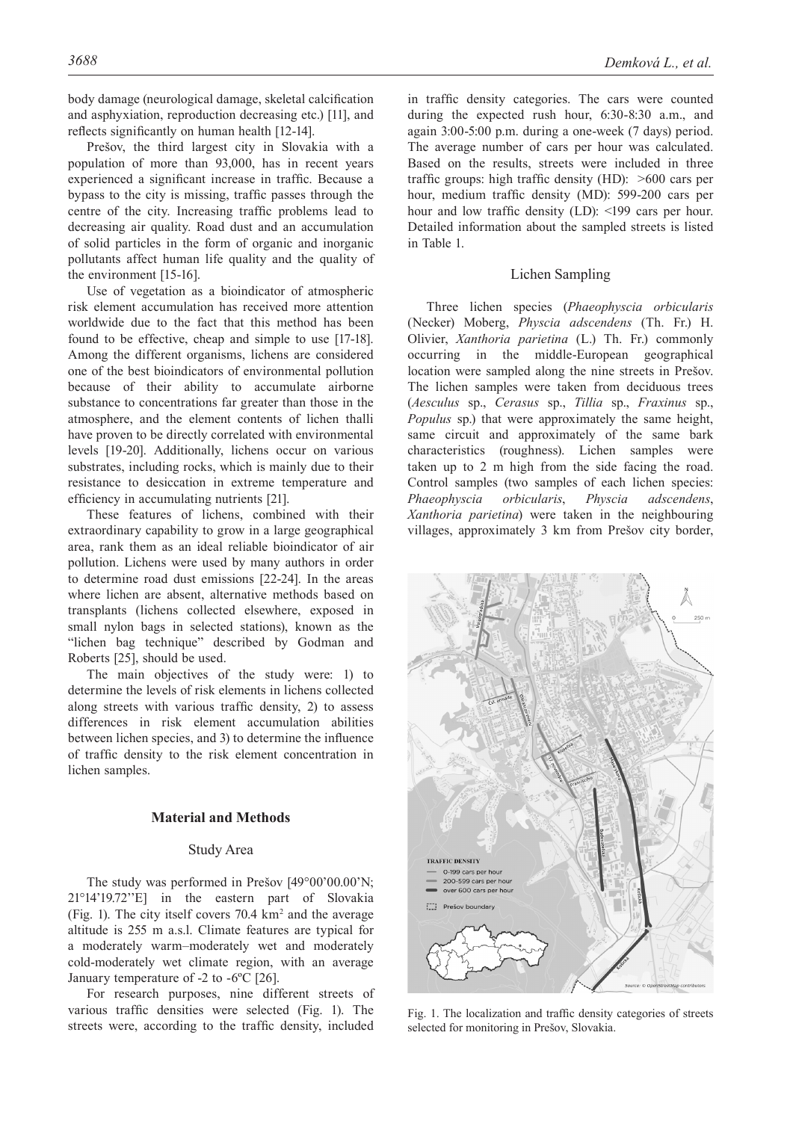body damage (neurological damage, skeletal calcification and asphyxiation, reproduction decreasing etc.) [11], and reflects significantly on human health [12-14].

Prešov, the third largest city in Slovakia with a population of more than 93,000, has in recent years experienced a significant increase in traffic. Because a bypass to the city is missing, traffic passes through the centre of the city. Increasing traffic problems lead to decreasing air quality. Road dust and an accumulation of solid particles in the form of organic and inorganic pollutants affect human life quality and the quality of the environment [15-16].

Use of vegetation as a bioindicator of atmospheric risk element accumulation has received more attention worldwide due to the fact that this method has been found to be effective, cheap and simple to use [17-18]. Among the different organisms, lichens are considered one of the best bioindicators of environmental pollution because of their ability to accumulate airborne substance to concentrations far greater than those in the atmosphere, and the element contents of lichen thalli have proven to be directly correlated with environmental levels [19-20]. Additionally, lichens occur on various substrates, including rocks, which is mainly due to their resistance to desiccation in extreme temperature and efficiency in accumulating nutrients [21].

These features of lichens, combined with their extraordinary capability to grow in a large geographical area, rank them as an ideal reliable bioindicator of air pollution. Lichens were used by many authors in order to determine road dust emissions [22-24]. In the areas where lichen are absent, alternative methods based on transplants (lichens collected elsewhere, exposed in small nylon bags in selected stations), known as the "lichen bag technique" described by Godman and Roberts [25], should be used.

The main objectives of the study were: 1) to determine the levels of risk elements in lichens collected along streets with various traffic density, 2) to assess differences in risk element accumulation abilities between lichen species, and 3) to determine the influence of traffic density to the risk element concentration in lichen samples.

#### **Material and Methods**

# Study Area

The study was performed in Prešov [49°00'00.00'N; 21°14'19.72''E] in the eastern part of Slovakia (Fig. 1). The city itself covers  $70.4 \text{ km}^2$  and the average altitude is 255 m a.s.l. Climate features are typical for a moderately warm–moderately wet and moderately cold-moderately wet climate region, with an average January temperature of -2 to -6ºC [26].

For research purposes, nine different streets of various traffic densities were selected (Fig. 1). The streets were, according to the traffic density, included in traffic density categories. The cars were counted during the expected rush hour, 6:30-8:30 a.m., and again 3:00-5:00 p.m. during a one-week (7 days) period. The average number of cars per hour was calculated. Based on the results, streets were included in three traffic groups: high traffic density (HD): >600 cars per hour, medium traffic density (MD): 599-200 cars per hour and low traffic density (LD): <199 cars per hour. Detailed information about the sampled streets is listed in Table 1.

## Lichen Sampling

Three lichen species (*Phaeophyscia orbicularis* (Necker) Moberg, *Physcia adscendens* (Th. Fr.) H. Olivier, *Xanthoria parietina* (L.) Th. Fr.) commonly occurring in the middle-European geographical location were sampled along the nine streets in Prešov. The lichen samples were taken from deciduous trees (*Aesculus* sp., *Cerasus* sp., *Tillia* sp., *Fraxinus* sp., *Populus* sp.) that were approximately the same height, same circuit and approximately of the same bark characteristics (roughness). Lichen samples were taken up to 2 m high from the side facing the road. Control samples (two samples of each lichen species: *Phaeophyscia orbicularis*, *Physcia adscendens*, *Xanthoria parietina*) were taken in the neighbouring villages, approximately 3 km from Prešov city border,



Fig. 1. The localization and traffic density categories of streets selected for monitoring in Prešov, Slovakia.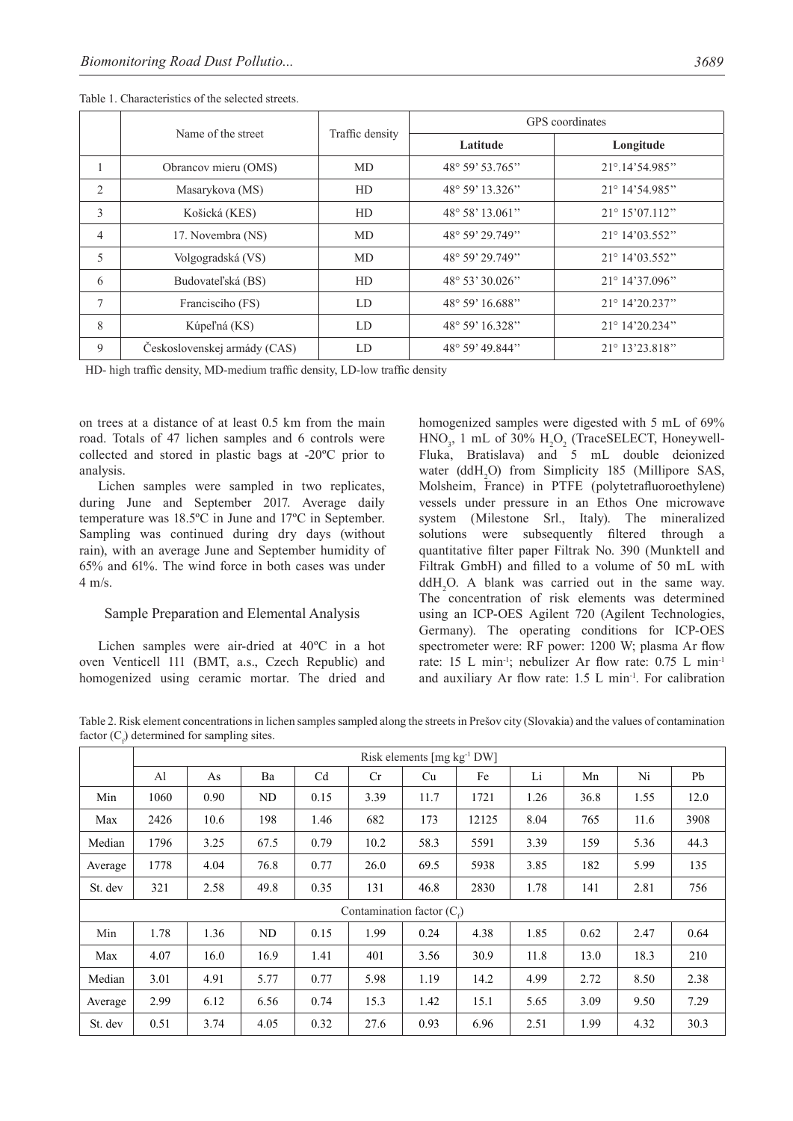|                |                              |                 | GPS coordinates           |                          |  |  |  |
|----------------|------------------------------|-----------------|---------------------------|--------------------------|--|--|--|
|                | Name of the street           | Traffic density | Latitude                  | Longitude                |  |  |  |
|                | Obrancov mieru (OMS)         | <b>MD</b>       | $48^{\circ} 59' 53.765''$ | 21°.14'54.985"           |  |  |  |
| 2              | Masarykova (MS)              | HD              | 48° 59' 13.326"           | 21° 14'54.985"           |  |  |  |
| 3              | Košická (KES)                | HD              | 48° 58' 13.061"           | $21^{\circ} 15' 07.112"$ |  |  |  |
| $\overline{4}$ | 17. Novembra (NS)            | MD              | $48^{\circ} 59' 29.749''$ | $21^{\circ}$ 14'03.552"  |  |  |  |
| 5              | Volgogradská (VS)            | <b>MD</b>       | 48° 59' 29.749"           | 21° 14'03.552"           |  |  |  |
| 6              | Budovateľská (BS)            | HD              | $48^{\circ} 53' 30.026"$  | $21^{\circ}$ 14'37.096"  |  |  |  |
| 7              | Francisciho (FS)             | LD              | 48° 59' 16.688"           | $21^{\circ}$ 14'20.237"  |  |  |  |
| 8              | Kúpeľná (KS)                 | LD              | 48° 59' 16.328"           | $21^{\circ}$ 14'20.234"  |  |  |  |
| 9              | Československej armády (CAS) | LD              | 48° 59' 49.844"           | 21° 13'23.818"           |  |  |  |

Table 1. Characteristics of the selected streets.

HD- high traffic density, MD-medium traffic density, LD-low traffic density

on trees at a distance of at least 0.5 km from the main road. Totals of 47 lichen samples and 6 controls were collected and stored in plastic bags at -20ºC prior to analysis.

Lichen samples were sampled in two replicates, during June and September 2017. Average daily temperature was 18.5ºC in June and 17ºC in September. Sampling was continued during dry days (without rain), with an average June and September humidity of 65% and 61%. The wind force in both cases was under 4 m/s.

# Sample Preparation and Elemental Analysis

Lichen samples were air-dried at 40ºC in a hot oven Venticell 111 (BMT, a.s., Czech Republic) and homogenized using ceramic mortar. The dried and homogenized samples were digested with 5 mL of 69%  $HNO<sub>3</sub>$ , 1 mL of 30%  $H<sub>2</sub>O<sub>2</sub>$  (TraceSELECT, Honeywell-Fluka, Bratislava) and 5 mL double deionized water (ddH<sub>2</sub>O) from Simplicity 185 (Millipore SAS, Molsheim, France) in PTFE (polytetrafluoroethylene) vessels under pressure in an Ethos One microwave system (Milestone Srl., Italy). The mineralized solutions were subsequently filtered through a quantitative filter paper Filtrak No. 390 (Munktell and Filtrak GmbH) and filled to a volume of 50 mL with  $d dH_2O$ . A blank was carried out in the same way. The concentration of risk elements was determined using an ICP-OES Agilent 720 (Agilent Technologies, Germany). The operating conditions for ICP-OES spectrometer were: RF power: 1200 W; plasma Ar flow rate: 15 L min<sup>-1</sup>; nebulizer Ar flow rate: 0.75 L min<sup>-1</sup> and auxiliary Ar flow rate: 1.5 L min-1. For calibration

Table 2. Risk element concentrations in lichen samples sampled along the streets in Prešov city (Slovakia) and the values of contamination factor  $(C_f)$  determined for sampling sites.

|         | Risk elements $\lceil \text{mg kg}^{-1} \text{DW} \rceil$ |      |      |                |      |      |       |      |      |      |      |  |
|---------|-----------------------------------------------------------|------|------|----------------|------|------|-------|------|------|------|------|--|
|         | Al                                                        | As   | Ba   | C <sub>d</sub> | Cr   | Cu   | Fe    | Li   | Mn   | Ni   | Pb   |  |
| Min     | 1060                                                      | 0.90 | ND   | 0.15           | 3.39 | 11.7 | 1721  | 1.26 | 36.8 | 1.55 | 12.0 |  |
| Max     | 2426                                                      | 10.6 | 198  | 1.46           | 682  | 173  | 12125 | 8.04 | 765  | 11.6 | 3908 |  |
| Median  | 1796                                                      | 3.25 | 67.5 | 0.79           | 10.2 | 58.3 | 5591  | 3.39 | 159  | 5.36 | 44.3 |  |
| Average | 1778                                                      | 4.04 | 76.8 | 0.77           | 26.0 | 69.5 | 5938  | 3.85 | 182  | 5.99 | 135  |  |
| St. dev | 321                                                       | 2.58 | 49.8 | 0.35           | 131  | 46.8 | 2830  | 1.78 | 141  | 2.81 | 756  |  |
|         | Contamination factor $(C_{\epsilon})$                     |      |      |                |      |      |       |      |      |      |      |  |
| Min     | 1.78                                                      | 1.36 | ND   | 0.15           | 1.99 | 0.24 | 4.38  | 1.85 | 0.62 | 2.47 | 0.64 |  |
| Max     | 4.07                                                      | 16.0 | 16.9 | 1.41           | 401  | 3.56 | 30.9  | 11.8 | 13.0 | 18.3 | 210  |  |
| Median  | 3.01                                                      | 4.91 | 5.77 | 0.77           | 5.98 | 1.19 | 14.2  | 4.99 | 2.72 | 8.50 | 2.38 |  |
| Average | 2.99                                                      | 6.12 | 6.56 | 0.74           | 15.3 | 1.42 | 15.1  | 5.65 | 3.09 | 9.50 | 7.29 |  |
| St. dev | 0.51                                                      | 3.74 | 4.05 | 0.32           | 27.6 | 0.93 | 6.96  | 2.51 | 1.99 | 4.32 | 30.3 |  |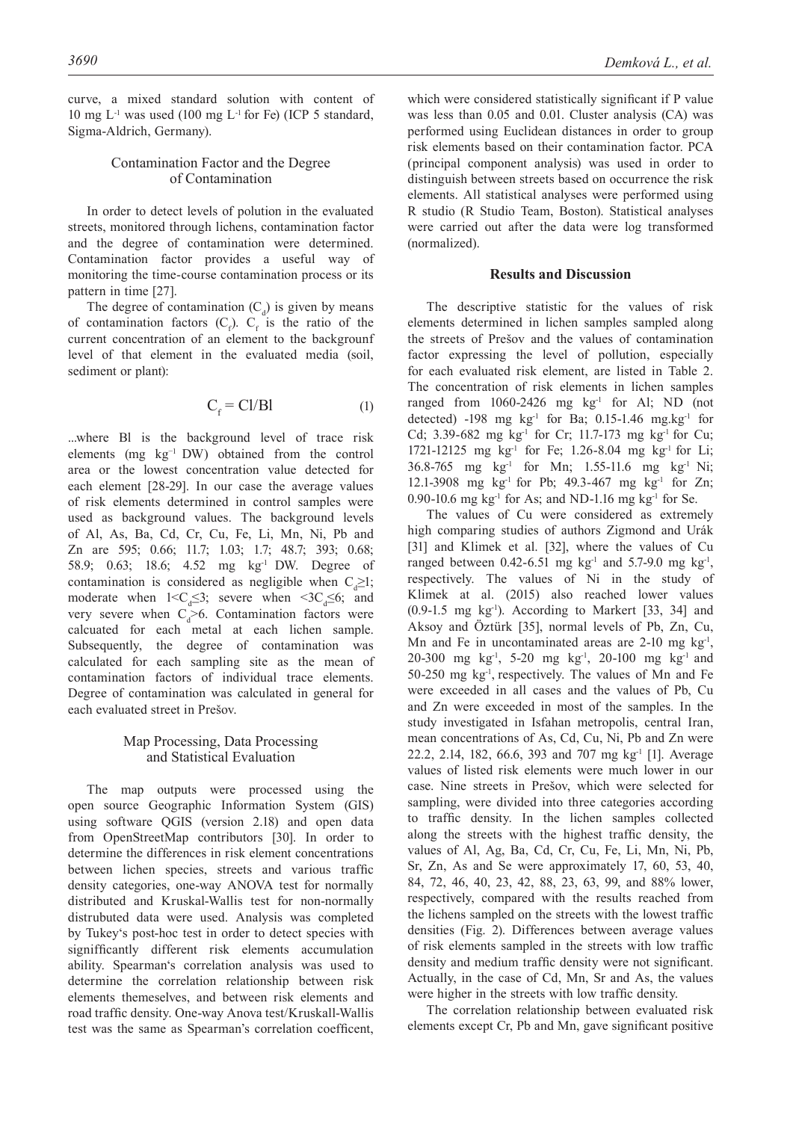curve, a mixed standard solution with content of 10 mg  $L^{-1}$  was used (100 mg  $L^{-1}$  for Fe) (ICP 5 standard, Sigma-Aldrich, Germany).

## Contamination Factor and the Degree of Contamination

In order to detect levels of polution in the evaluated streets, monitored through lichens, contamination factor and the degree of contamination were determined. Contamination factor provides a useful way of monitoring the time-course contamination process or its pattern in time [27].

The degree of contamination  $(C_d)$  is given by means of contamination factors  $(C_f)$ .  $C_f$  is the ratio of the current concentration of an element to the backgrounf level of that element in the evaluated media (soil, sediment or plant):

$$
C_f = Cl/Bl \tag{1}
$$

...where Bl is the background level of trace risk elements (mg kg−1 DW) obtained from the control area or the lowest concentration value detected for each element [28-29]. In our case the average values of risk elements determined in control samples were used as background values. The background levels of Al, As, Ba, Cd, Cr, Cu, Fe, Li, Mn, Ni, Pb and Zn are 595; 0.66; 11.7; 1.03; 1.7; 48.7; 393; 0.68; 58.9; 0.63; 18.6; 4.52 mg kg-1 DW. Degree of contamination is considered as negligible when  $C_d \geq 1$ ; moderate when  $1 < C_d \leq 3$ ; severe when  $\leq 3C_d \leq 6$ ; and very severe when  $C_d$  6. Contamination factors were calcuated for each metal at each lichen sample. Subsequently, the degree of contamination was calculated for each sampling site as the mean of contamination factors of individual trace elements. Degree of contamination was calculated in general for each evaluated street in Prešov.

## Map Processing, Data Processing and Statistical Evaluation

The map outputs were processed using the open source Geographic Information System (GIS) using software QGIS (version 2.18) and open data from OpenStreetMap contributors [30]. In order to determine the differences in risk element concentrations between lichen species, streets and various traffic density categories, one-way ANOVA test for normally distributed and Kruskal-Wallis test for non-normally distrubuted data were used. Analysis was completed by Tukey's post-hoc test in order to detect species with signifficantly different risk elements accumulation ability. Spearman's correlation analysis was used to determine the correlation relationship between risk elements themeselves, and between risk elements and road traffic density. One-way Anova test/Kruskall-Wallis test was the same as Spearman's correlation coefficent, which were considered statistically significant if P value was less than 0.05 and 0.01. Cluster analysis (CA) was performed using Euclidean distances in order to group risk elements based on their contamination factor. PCA (principal component analysis) was used in order to distinguish between streets based on occurrence the risk elements. All statistical analyses were performed using R studio (R Studio Team, Boston). Statistical analyses were carried out after the data were log transformed (normalized).

#### **Results and Discussion**

The descriptive statistic for the values of risk elements determined in lichen samples sampled along the streets of Prešov and the values of contamination factor expressing the level of pollution, especially for each evaluated risk element, are listed in Table 2. The concentration of risk elements in lichen samples ranged from  $1060-2426$  mg  $kg<sup>-1</sup>$  for Al; ND (not detected) -198 mg  $kg^{-1}$  for Ba; 0.15-1.46 mg.kg<sup>-1</sup> for Cd; 3.39-682 mg kg<sup>-1</sup> for Cr; 11.7-173 mg kg<sup>-1</sup> for Cu; 1721-12125 mg kg<sup>-1</sup> for Fe; 1.26-8.04 mg kg<sup>-1</sup> for Li; 36.8-765 mg kg-1 for Mn; 1.55-11.6 mg kg-1 Ni; 12.1-3908 mg kg<sup>-1</sup> for Pb; 49.3-467 mg kg<sup>-1</sup> for Zn; 0.90-10.6 mg kg<sup>-1</sup> for As; and ND-1.16 mg kg<sup>-1</sup> for Se.

The values of Cu were considered as extremely high comparing studies of authors Zigmond and Urák [31] and Klimek et al. [32], where the values of Cu ranged between  $0.42 - 6.51$  mg kg<sup>-1</sup> and  $5.7 - 9.0$  mg kg<sup>-1</sup>, respectively. The values of Ni in the study of Klimek at al. (2015) also reached lower values  $(0.9-1.5 \text{ mg kg}^{-1})$ . According to Markert [33, 34] and Aksoy and Öztürk [35], normal levels of Pb, Zn, Cu, Mn and Fe in uncontaminated areas are  $2-10$  mg kg<sup>-1</sup>, 20-300 mg kg-1, 5-20 mg kg-1, 20-100 mg kg-1 and 50-250 mg  $kg<sup>-1</sup>$ , respectively. The values of Mn and Fe were exceeded in all cases and the values of Pb, Cu and Zn were exceeded in most of the samples. In the study investigated in Isfahan metropolis, central Iran, mean concentrations of As, Cd, Cu, Ni, Pb and Zn were 22.2, 2.14, 182, 66.6, 393 and 707 mg kg-1 [1]. Average values of listed risk elements were much lower in our case. Nine streets in Prešov, which were selected for sampling, were divided into three categories according to traffic density. In the lichen samples collected along the streets with the highest traffic density, the values of Al, Ag, Ba, Cd, Cr, Cu, Fe, Li, Mn, Ni, Pb, Sr, Zn, As and Se were approximately 17, 60, 53, 40, 84, 72, 46, 40, 23, 42, 88, 23, 63, 99, and 88% lower, respectively, compared with the results reached from the lichens sampled on the streets with the lowest traffic densities (Fig. 2). Differences between average values of risk elements sampled in the streets with low traffic density and medium traffic density were not significant. Actually, in the case of Cd, Mn, Sr and As, the values were higher in the streets with low traffic density.

The correlation relationship between evaluated risk elements except Cr, Pb and Mn, gave significant positive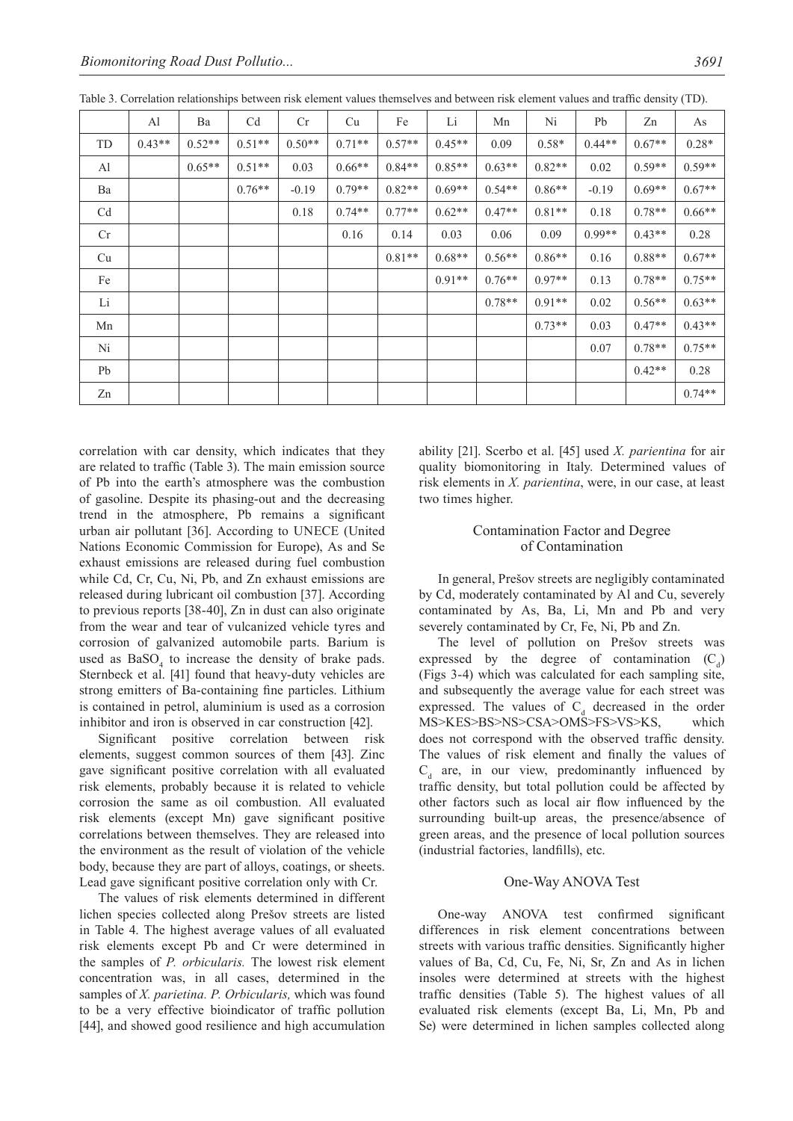|                | Al       | Ba       | C <sub>d</sub> | Cr       | Cu       | Fe       | Li       | Mn       | Ni       | Pb       | Zn       | As       |
|----------------|----------|----------|----------------|----------|----------|----------|----------|----------|----------|----------|----------|----------|
| TD             | $0.43**$ | $0.52**$ | $0.51**$       | $0.50**$ | $0.71**$ | $0.57**$ | $0.45**$ | 0.09     | $0.58*$  | $0.44**$ | $0.67**$ | $0.28*$  |
| Al             |          | $0.65**$ | $0.51**$       | 0.03     | $0.66**$ | $0.84**$ | $0.85**$ | $0.63**$ | $0.82**$ | 0.02     | $0.59**$ | $0.59**$ |
| Ba             |          |          | $0.76**$       | $-0.19$  | $0.79**$ | $0.82**$ | $0.69**$ | $0.54**$ | $0.86**$ | $-0.19$  | $0.69**$ | $0.67**$ |
| C <sub>d</sub> |          |          |                | 0.18     | $0.74**$ | $0.77**$ | $0.62**$ | $0.47**$ | $0.81**$ | 0.18     | $0.78**$ | $0.66**$ |
| Cr             |          |          |                |          | 0.16     | 0.14     | 0.03     | 0.06     | 0.09     | $0.99**$ | $0.43**$ | 0.28     |
| Cu             |          |          |                |          |          | $0.81**$ | $0.68**$ | $0.56**$ | $0.86**$ | 0.16     | $0.88**$ | $0.67**$ |
| Fe             |          |          |                |          |          |          | $0.91**$ | $0.76**$ | $0.97**$ | 0.13     | $0.78**$ | $0.75**$ |
| Li             |          |          |                |          |          |          |          | $0.78**$ | $0.91**$ | 0.02     | $0.56**$ | $0.63**$ |
| Mn             |          |          |                |          |          |          |          |          | $0.73**$ | 0.03     | $0.47**$ | $0.43**$ |
| Ni             |          |          |                |          |          |          |          |          |          | 0.07     | $0.78**$ | $0.75**$ |
| Pb             |          |          |                |          |          |          |          |          |          |          | $0.42**$ | 0.28     |
| Zn             |          |          |                |          |          |          |          |          |          |          |          | $0.74**$ |

Table 3. Correlation relationships between risk element values themselves and between risk element values and traffic density (TD).

correlation with car density, which indicates that they are related to traffic (Table 3). The main emission source of Pb into the earth's atmosphere was the combustion of gasoline. Despite its phasing-out and the decreasing trend in the atmosphere, Pb remains a significant urban air pollutant [36]. According to UNECE (United Nations Economic Commission for Europe), As and Se exhaust emissions are released during fuel combustion while Cd, Cr, Cu, Ni, Pb, and Zn exhaust emissions are released during lubricant oil combustion [37]. According to previous reports [38-40], Zn in dust can also originate from the wear and tear of vulcanized vehicle tyres and corrosion of galvanized automobile parts. Barium is used as  $BaSO<sub>4</sub>$  to increase the density of brake pads. Sternbeck et al. [41] found that heavy-duty vehicles are strong emitters of Ba-containing fine particles. Lithium is contained in petrol, aluminium is used as a corrosion inhibitor and iron is observed in car construction [42].

Significant positive correlation between risk elements, suggest common sources of them [43]. Zinc gave significant positive correlation with all evaluated risk elements, probably because it is related to vehicle corrosion the same as oil combustion. All evaluated risk elements (except Mn) gave significant positive correlations between themselves. They are released into the environment as the result of violation of the vehicle body, because they are part of alloys, coatings, or sheets. Lead gave significant positive correlation only with Cr.

The values of risk elements determined in different lichen species collected along Prešov streets are listed in Table 4. The highest average values of all evaluated risk elements except Pb and Cr were determined in the samples of *P. orbicularis.* The lowest risk element concentration was, in all cases, determined in the samples of *X. parietina. P. Orbicularis,* which was found to be a very effective bioindicator of traffic pollution [44], and showed good resilience and high accumulation ability [21]. Scerbo et al. [45] used *X. parientina* for air quality biomonitoring in Italy. Determined values of risk elements in *X. parientina*, were, in our case, at least two times higher.

# Contamination Factor and Degree of Contamination

In general, Prešov streets are negligibly contaminated by Cd, moderately contaminated by Al and Cu, severely contaminated by As, Ba, Li, Mn and Pb and very severely contaminated by Cr, Fe, Ni, Pb and Zn.

The level of pollution on Prešov streets was expressed by the degree of contamination  $(C_d)$ (Figs 3-4) which was calculated for each sampling site, and subsequently the average value for each street was expressed. The values of  $C_d$  decreased in the order MS>KES>BS>NS>CSA>OMS>FS>VS>KS, which does not correspond with the observed traffic density. The values of risk element and finally the values of  $C_d$  are, in our view, predominantly influenced by traffic density, but total pollution could be affected by other factors such as local air flow influenced by the surrounding built-up areas, the presence/absence of green areas, and the presence of local pollution sources (industrial factories, landfills), etc.

# One-Way ANOVA Test

One-way ANOVA test confirmed significant differences in risk element concentrations between streets with various traffic densities. Significantly higher values of Ba, Cd, Cu, Fe, Ni, Sr, Zn and As in lichen insoles were determined at streets with the highest traffic densities (Table 5). The highest values of all evaluated risk elements (except Ba, Li, Mn, Pb and Se) were determined in lichen samples collected along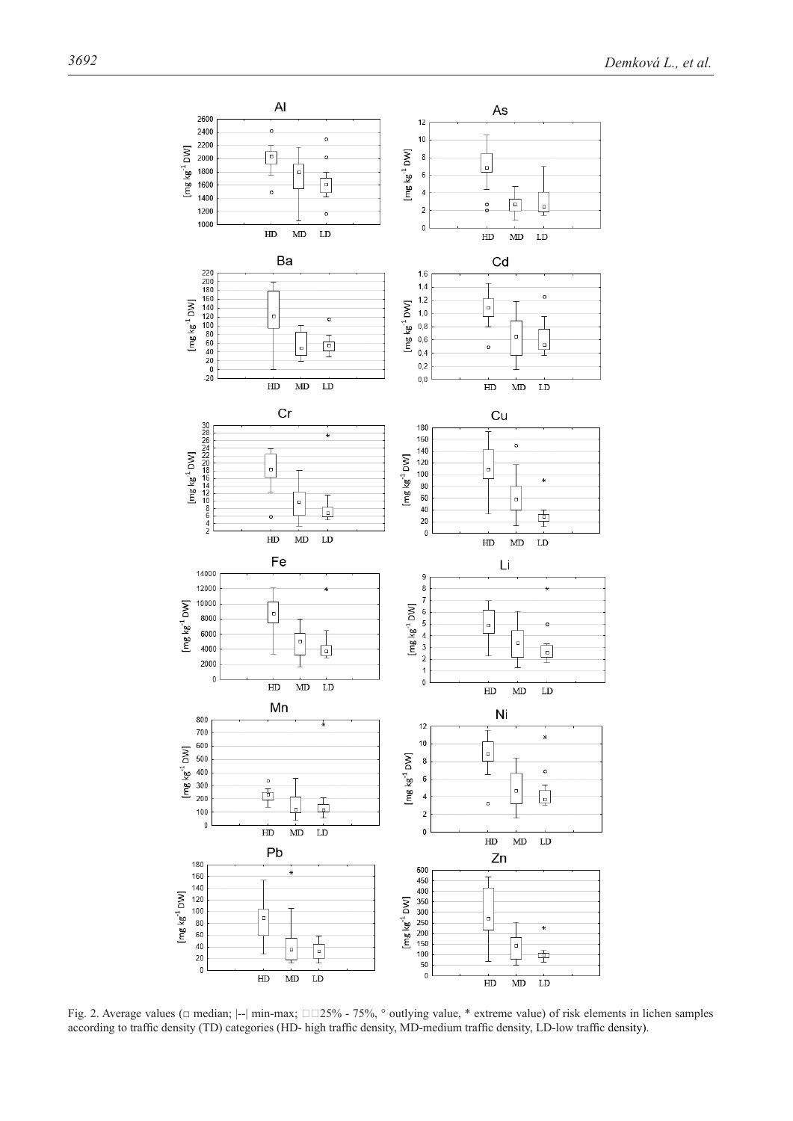

Fig. 2. Average values (□ median; |--| min-max; □□25% - 75%, ° outlying value, \* extreme value) of risk elements in lichen samples according to traffic density (TD) categories (HD- high traffic density, MD-medium traffic density, LD-low traffic density).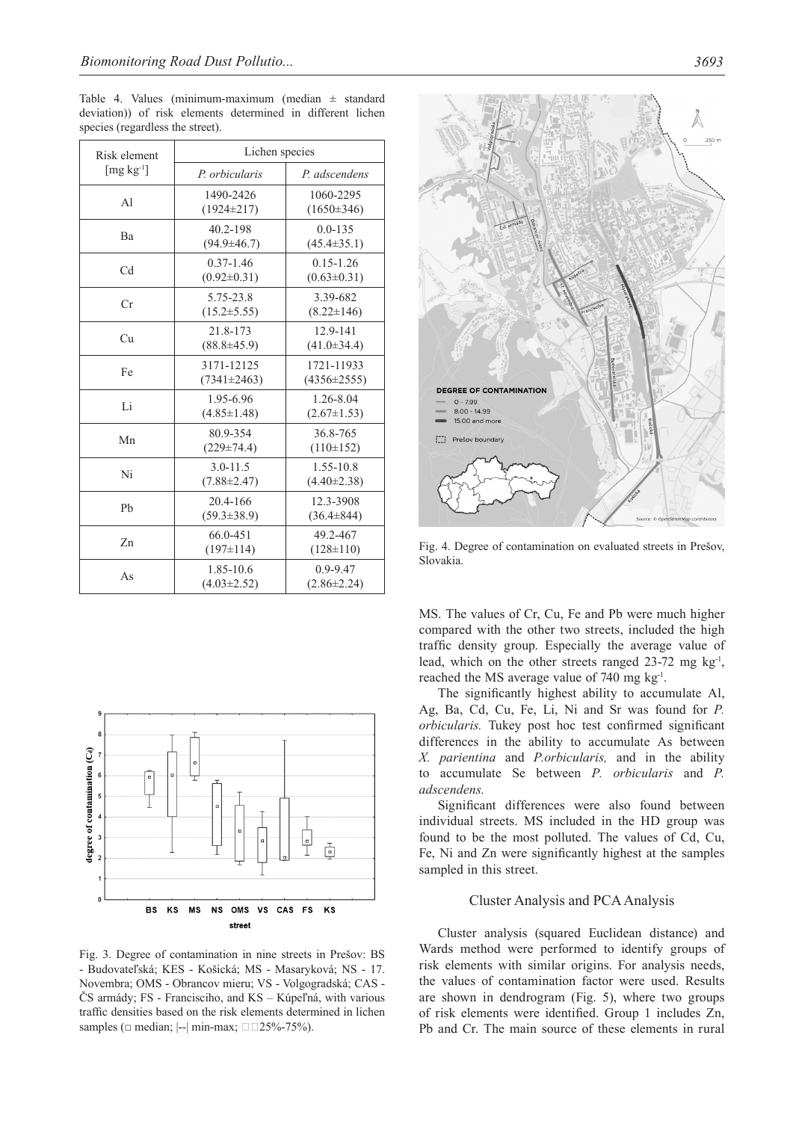Table 4. Values (minimum-maximum (median  $\pm$  standard deviation)) of risk elements determined in different lichen species (regardless the street).

| Risk element                     | Lichen species                     |                                    |  |  |  |  |  |
|----------------------------------|------------------------------------|------------------------------------|--|--|--|--|--|
| $\left[\text{mg kg}^{-1}\right]$ | P. orbicularis                     | P. adscendens                      |  |  |  |  |  |
| A <sub>1</sub>                   | 1490-2426<br>$(1924 \pm 217)$      | 1060-2295<br>$(1650\pm346)$        |  |  |  |  |  |
| Ba                               | 40.2-198<br>$(94.9 \pm 46.7)$      | $0.0 - 135$<br>$(45.4 \pm 35.1)$   |  |  |  |  |  |
| C <sub>d</sub>                   | $0.37 - 1.46$<br>$(0.92 \pm 0.31)$ | $0.15 - 1.26$<br>$(0.63 \pm 0.31)$ |  |  |  |  |  |
| Cr                               | 5.75-23.8<br>$(15.2 \pm 5.55)$     | 3.39-682<br>$(8.22 \pm 146)$       |  |  |  |  |  |
| Cu                               | 21.8-173<br>$(88.8 \pm 45.9)$      | 12.9-141<br>$(41.0 \pm 34.4)$      |  |  |  |  |  |
| Fe                               | 3171-12125<br>$(7341\pm 2463)$     | 1721-11933<br>$(4356 \pm 2555)$    |  |  |  |  |  |
| Li                               | 1.95-6.96<br>$(4.85 \pm 1.48)$     | 1.26-8.04<br>$(2.67 \pm 1.53)$     |  |  |  |  |  |
| Mn                               | 80.9-354<br>$(229 \pm 74.4)$       | 36.8-765<br>$(110\pm 152)$         |  |  |  |  |  |
| Ni                               | $3.0 - 11.5$<br>$(7.88 \pm 2.47)$  | 1.55-10.8<br>$(4.40 \pm 2.38)$     |  |  |  |  |  |
| Pb                               | 20.4-166<br>$(59.3 \pm 38.9)$      | 12.3-3908<br>$(36.4 \pm 844)$      |  |  |  |  |  |
| Zn                               | 66.0-451<br>$(197\pm 114)$         | 49.2-467<br>$(128 \pm 110)$        |  |  |  |  |  |
| As                               | 1.85-10.6<br>$(4.03 \pm 2.52)$     | $0.9 - 9.47$<br>$(2.86 \pm 2.24)$  |  |  |  |  |  |



Fig. 3. Degree of contamination in nine streets in Prešov: BS - Budovateľská; KES - Košická; MS - Masaryková; NS - 17. Novembra; OMS - Obrancov mieru; VS - Volgogradská; CAS - ČS armády; FS - Francisciho, and KS – Kúpeľná, with various traffic densities based on the risk elements determined in lichen samples ( $\Box$  median;  $\left|- \right|$  min-max;  $\Box$  $\Box$ 25%-75%).



Fig. 4. Degree of contamination on evaluated streets in Prešov, Slovakia.

MS. The values of Cr, Cu, Fe and Pb were much higher compared with the other two streets, included the high traffic density group. Especially the average value of lead, which on the other streets ranged  $23-72$  mg kg<sup>-1</sup>, reached the MS average value of 740 mg kg<sup>-1</sup>.

The significantly highest ability to accumulate Al, Ag, Ba, Cd, Cu, Fe, Li, Ni and Sr was found for *P. orbicularis.* Tukey post hoc test confirmed significant differences in the ability to accumulate As between *X. parientina* and *P.orbicularis,* and in the ability to accumulate Se between *P. orbicularis* and *P. adscendens.* 

Significant differences were also found between individual streets. MS included in the HD group was found to be the most polluted. The values of Cd, Cu, Fe, Ni and Zn were significantly highest at the samples sampled in this street.

## Cluster Analysis and PCA Analysis

Cluster analysis (squared Euclidean distance) and Wards method were performed to identify groups of risk elements with similar origins. For analysis needs, the values of contamination factor were used. Results are shown in dendrogram (Fig. 5), where two groups of risk elements were identified. Group 1 includes Zn, Pb and Cr. The main source of these elements in rural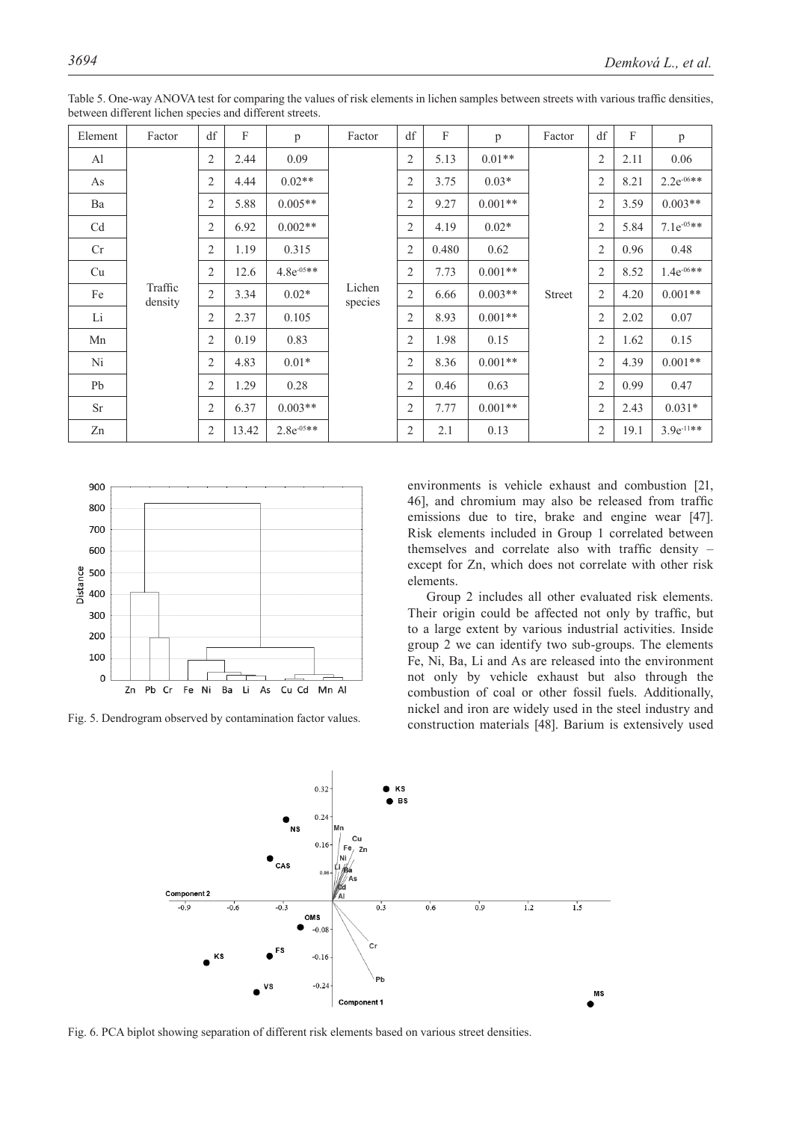| Element   | Factor             | df                           | F              | p               | Factor            | df             | $\mathbf{F}$ | p         | Factor                   | df             | F    | p               |      |
|-----------|--------------------|------------------------------|----------------|-----------------|-------------------|----------------|--------------|-----------|--------------------------|----------------|------|-----------------|------|
| Al        |                    | $\overline{2}$               | 2.44           | 0.09            |                   | $\overline{2}$ | 5.13         | $0.01**$  | 2<br>$\overline{2}$<br>2 |                |      | 2.11            | 0.06 |
| As        |                    | $\overline{2}$               | 4.44           | $0.02**$        |                   | $\overline{2}$ | 3.75         | $0.03*$   |                          |                | 8.21 | $2.2e^{-06**}$  |      |
| Ba        |                    | 2                            | 5.88           | $0.005**$       |                   | 2              | 9.27         | $0.001**$ |                          |                | 3.59 | $0.003**$       |      |
| Cd        |                    | 2                            | 6.92           | $0.002**$       |                   | $\overline{2}$ | 4.19         | $0.02*$   |                          | $\overline{2}$ | 5.84 | $7.1e^{-0.5**}$ |      |
| Cr        |                    | $\overline{2}$               | 1.19           | 0.315           | Lichen<br>species | $\overline{2}$ | 0.480        | 0.62      | <b>Street</b>            | 2              | 0.96 | 0.48            |      |
| Cu        | Traffic<br>density | 2                            | 12.6           | $4.8e^{-0.5**}$ |                   | $\overline{2}$ | 7.73         | $0.001**$ |                          | $\overline{2}$ | 8.52 | $1.4e^{-06**}$  |      |
| Fe        |                    | $\overline{2}$               | 3.34           | $0.02*$         |                   | 2              | 6.66         | $0.003**$ |                          | $\overline{2}$ | 4.20 | $0.001**$       |      |
| Li        |                    | $\overline{2}$               | 2.37           | 0.105           |                   | $\overline{2}$ | 8.93         | $0.001**$ |                          | 2              | 2.02 | 0.07            |      |
| Mn        |                    | $\mathbf{2}$<br>0.83<br>0.19 | $\overline{2}$ | 1.98            | 0.15              |                | 2            | 1.62      | 0.15                     |                |      |                 |      |
| Ni        |                    | $\overline{2}$               | 4.83           | $0.01*$         |                   | $\overline{2}$ | 8.36         | $0.001**$ |                          | 2              | 4.39 | $0.001**$       |      |
| Pb        |                    | 2                            | 1.29           | 0.28            |                   | 2              | 0.46         | 0.63      |                          | $\overline{2}$ | 0.99 | 0.47            |      |
| <b>Sr</b> |                    | $\overline{2}$               | 6.37           | $0.003**$       |                   | $\overline{2}$ | 7.77         | $0.001**$ |                          | $\overline{2}$ | 2.43 | $0.031*$        |      |
| Zn        |                    | $\overline{2}$               | 13.42          | $2.8e^{-0.5**}$ |                   | 2              | 2.1          | 0.13      |                          | 2              | 19.1 | $3.9e^{-11**}$  |      |

Table 5. One-way ANOVA test for comparing the values of risk elements in lichen samples between streets with various traffic densities, between different lichen species and different streets.



Fig. 5. Dendrogram observed by contamination factor values.

environments is vehicle exhaust and combustion [21, 46], and chromium may also be released from traffic emissions due to tire, brake and engine wear [47]. Risk elements included in Group 1 correlated between themselves and correlate also with traffic density – except for Zn, which does not correlate with other risk elements.

Group 2 includes all other evaluated risk elements. Their origin could be affected not only by traffic, but to a large extent by various industrial activities. Inside group 2 we can identify two sub-groups. The elements Fe, Ni, Ba, Li and As are released into the environment not only by vehicle exhaust but also through the combustion of coal or other fossil fuels. Additionally, nickel and iron are widely used in the steel industry and construction materials [48]. Barium is extensively used



Fig. 6. PCA biplot showing separation of different risk elements based on various street densities.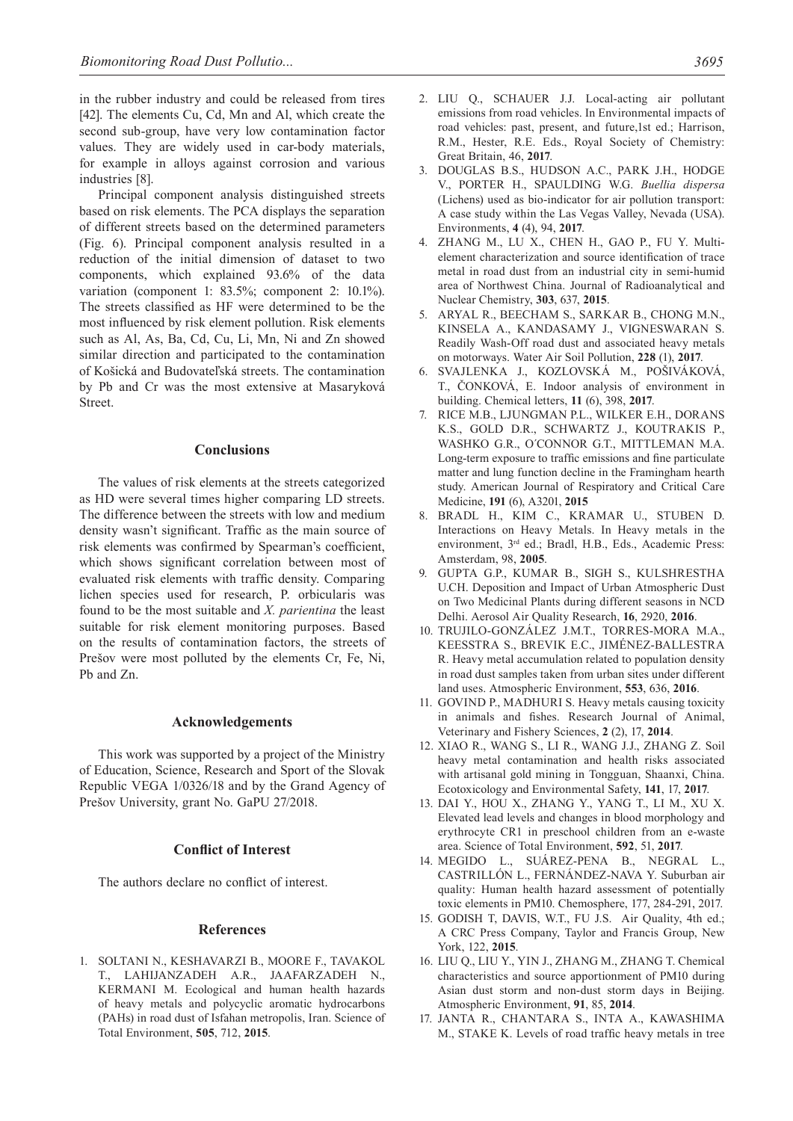in the rubber industry and could be released from tires [42]. The elements Cu, Cd, Mn and Al, which create the second sub-group, have very low contamination factor values. They are widely used in car-body materials, for example in alloys against corrosion and various industries [8].

Principal component analysis distinguished streets based on risk elements. The PCA displays the separation of different streets based on the determined parameters (Fig. 6). Principal component analysis resulted in a reduction of the initial dimension of dataset to two components, which explained 93.6% of the data variation (component 1: 83.5%; component 2: 10.1%). The streets classified as HF were determined to be the most influenced by risk element pollution. Risk elements such as Al, As, Ba, Cd, Cu, Li, Mn, Ni and Zn showed similar direction and participated to the contamination of Košická and Budovateľská streets. The contamination by Pb and Cr was the most extensive at Masaryková Street.

#### **Conclusions**

The values of risk elements at the streets categorized as HD were several times higher comparing LD streets. The difference between the streets with low and medium density wasn't significant. Traffic as the main source of risk elements was confirmed by Spearman's coefficient, which shows significant correlation between most of evaluated risk elements with traffic density. Comparing lichen species used for research, P. orbicularis was found to be the most suitable and *X. parientina* the least suitable for risk element monitoring purposes. Based on the results of contamination factors, the streets of Prešov were most polluted by the elements Cr, Fe, Ni, Pb and Zn.

# **Acknowledgements**

This work was supported by a project of the Ministry of Education, Science, Research and Sport of the Slovak Republic VEGA 1/0326/18 and by the Grand Agency of Prešov University, grant No. GaPU 27/2018.

## **Conflict of Interest**

The authors declare no conflict of interest.

#### **References**

1. SOLTANI N., KESHAVARZI B., MOORE F., TAVAKOL T., LAHIJANZADEH A.R., JAAFARZADEH N., KERMANI M. Ecological and human health hazards of heavy metals and polycyclic aromatic hydrocarbons (PAHs) in road dust of Isfahan metropolis, Iran. Science of Total Environment, **505**, 712, **2015**.

- 2. LIU Q., SCHAUER J.J. Local-acting air pollutant emissions from road vehicles. In Environmental impacts of road vehicles: past, present, and future,1st ed.; Harrison, R.M., Hester, R.E. Eds., Royal Society of Chemistry: Great Britain, 46, **2017**.
- 3. DOUGLAS B.S., HUDSON A.C., PARK J.H., HODGE V., PORTER H., SPAULDING W.G. *Buellia dispersa* (Lichens) used as bio-indicator for air pollution transport: A case study within the Las Vegas Valley, Nevada (USA). Environments, **4** (4), 94, **2017**.
- 4. ZHANG M., LU X., CHEN H., GAO P., FU Y. Multielement characterization and source identification of trace metal in road dust from an industrial city in semi-humid area of Northwest China. Journal of Radioanalytical and Nuclear Chemistry, **303**, 637, **2015**.
- 5. ARYAL R., BEECHAM S., SARKAR B., CHONG M.N., KINSELA A., KANDASAMY J., VIGNESWARAN S. Readily Wash-Off road dust and associated heavy metals on motorways. Water Air Soil Pollution, **228** (1), **2017**.
- 6. SVAJLENKA J., KOZLOVSKÁ M., POŠIVÁKOVÁ, T., ČONKOVÁ, E. Indoor analysis of environment in building. Chemical letters, **11** (6), 398, **2017**.
- 7. RICE M.B., LJUNGMAN P.L., WILKER E.H., DORANS K.S., GOLD D.R., SCHWARTZ J., KOUTRAKIS P., WASHKO G.R., O´CONNOR G.T., MITTLEMAN M.A. Long-term exposure to traffic emissions and fine particulate matter and lung function decline in the Framingham hearth study. American Journal of Respiratory and Critical Care Medicine, **191** (6), A3201, **2015**
- 8. BRADL H., KIM C., KRAMAR U., STUBEN D. Interactions on Heavy Metals. In Heavy metals in the environment, 3rd ed.; Bradl, H.B., Eds., Academic Press: Amsterdam, 98, **2005**.
- 9. GUPTA G.P., KUMAR B., SIGH S., KULSHRESTHA U.CH. Deposition and Impact of Urban Atmospheric Dust on Two Medicinal Plants during different seasons in NCD Delhi. Aerosol Air Quality Research, **16**, 2920, **2016**.
- 10. TRUJILO-GONZÁLEZ J.M.T., TORRES-MORA M.A., KEESSTRA S., BREVIK E.C., JIMÉNEZ-BALLESTRA R. Heavy metal accumulation related to population density in road dust samples taken from urban sites under different land uses. Atmospheric Environment, **553**, 636, **2016**.
- 11. GOVIND P., MADHURI S. Heavy metals causing toxicity in animals and fishes. Research Journal of Animal, Veterinary and Fishery Sciences, **2** (2), 17, **2014**.
- 12. XIAO R., WANG S., LI R., WANG J.J., ZHANG Z. Soil heavy metal contamination and health risks associated with artisanal gold mining in Tongguan, Shaanxi, China. Ecotoxicology and Environmental Safety, **141**, 17, **2017**.
- 13. DAI Y., HOU X., ZHANG Y., YANG T., LI M., XU X. Elevated lead levels and changes in blood morphology and erythrocyte CR1 in preschool children from an e-waste area. Science of Total Environment, **592**, 51, **2017**.
- 14. MEGIDO L., SUÁREZ-PENA B., NEGRAL L., CASTRILLÓN L., FERNÁNDEZ-NAVA Y. Suburban air quality: Human health hazard assessment of potentially toxic elements in PM10. Chemosphere, 177, 284-291, 2017.
- 15. GODISH T, DAVIS, W.T., FU J.S. Air Quality, 4th ed.; A CRC Press Company, Taylor and Francis Group, New York, 122, **2015**.
- 16. LIU Q., LIU Y., YIN J., ZHANG M., ZHANG T. Chemical characteristics and source apportionment of PM10 during Asian dust storm and non-dust storm days in Beijing. Atmospheric Environment, **91**, 85, **2014**.
- 17. JANTA R., CHANTARA S., INTA A., KAWASHIMA M., STAKE K. Levels of road traffic heavy metals in tree